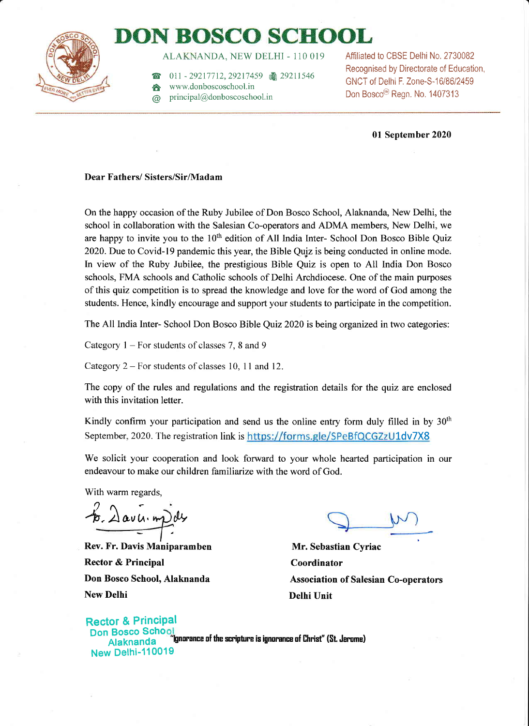

## DONBOSCO SCHOOL

ALAKNANDA, NEW DELHI - 110 019

011 - 29217712, 29217459 圖 29211546

- www.donboscoschool.in
- @ principal@donboscoschool.in

Affiliated to CBSE Delhi No, 2730082 Recognised by Directorate of Education, GNCT of Delhi F. Zone-S-16/86/2459 Don Bosco<sup>®</sup> Regn. No. 1407313

7

01 September 2020

#### Dear Fathers/ Sisters/Sir/Madam

On the happy occasion of the Ruby Jubilee of Don Bosco School, Alaknanda, New Delhi, the school in collaboration with the Salesian Co-operators and ADMA members, New Delhi, we are happy to invite you to the  $10<sup>th</sup>$  edition of All India Inter-School Don Bosco Bible Quiz 2020.Due to Covid-l9 pandemic this year, the Bible Qujz is being conducted in online mode, ln view of the Ruby Jubilee, the prestigious Bible Quiz is open to All India Don Bosco schools, FMA schools and Catholic schools of Delhi Archdiocese. One of the main purposes of this quiz competition is to spread the knowledge and love for the word of God among the students. Hence, kindly encourage and support your students to participate in the competition.

The All India Inter- School Don Bosco Bible Quiz 2020 isbeing organized in two categories:

Category  $1 -$  For students of classes 7, 8 and 9

Category  $2 -$  For students of classes 10, 11 and 12.

The copy of the rules and regulations and the registration details for the quiz arc enclosed with this invitation letter.

Kindly confirm your participation and send us the online entry form duly filled in by  $30<sup>th</sup>$ September, 2020. The registration link is https://forms.gle/SPeBfQCGZzU1dv7X8

We solicit your cooperation and look forward to your whole hearted participation in our endeavour to make our children familiarize with the word of God.

With warm regards,

6. Davu. mpds

Rev. Fr. Davis Maniparamben Rector & Principal Don Bosco School, Alaknanda New Delhi

Mr. Sebastian Cyriac Coordinator Association of Salesian Co-operators Delhi Unit

**Rector & Principal** Don Bosco Schoo<mark>j</mark><br>Alaknanda "Ignorance of the scripture is ignorance of Christ" (St. Jerome) New Delhi-110019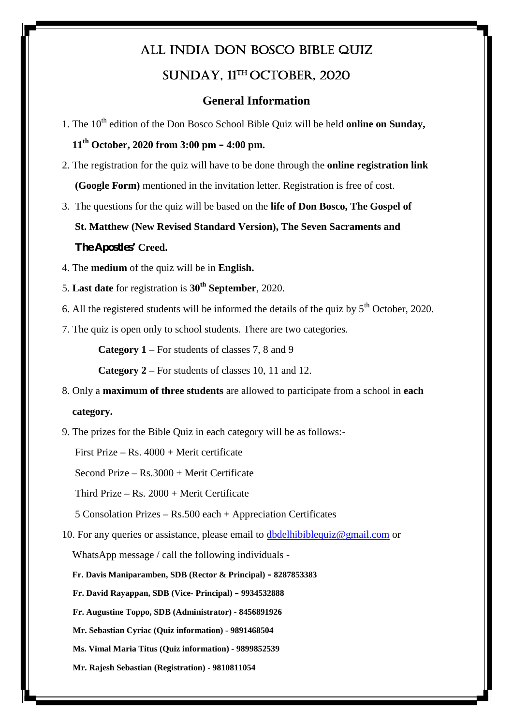### **All India Don Bosco Bible Quiz Sunday, 11th October, 2020**

#### **General Information**

1. The 10<sup>th</sup> edition of the Don Bosco School Bible Quiz will be held **online on Sunday**,

### **11th October, 2020 from 3:00 pm – 4:00 pm.**

- 2. The registration for the quiz will have to be done through the **online registration link (Google Form)** mentioned in the invitation letter. Registration is free of cost.
- 3. The questions for the quiz will be based on the **life of Don Bosco, The Gospel of**

**St. Matthew (New Revised Standard Version), The Seven Sacraments and The Apostles' Creed.**

- 4. The **medium** of the quiz will be in **English.**
- 5. **Last date** for registration is **30th September**, 2020.
- 6. All the registered students will be informed the details of the quiz by  $5<sup>th</sup>$  October, 2020.
- 7. The quiz is open only to school students. There are two categories.

**Category 1** – For students of classes 7, 8 and 9

**Category 2** – For students of classes 10, 11 and 12.

- 8. Only a **maximum of three students** are allowed to participate from a school in **each category.**
- 9. The prizes for the Bible Quiz in each category will be as follows:-

First Prize – Rs.  $4000 +$  Merit certificate

Second Prize – Rs.3000 + Merit Certificate

Third Prize – Rs. 2000 + Merit Certificate

5 Consolation Prizes – Rs.500 each + Appreciation Certificates

10. For any queries or assistance, please email to dbdelhibiblequiz@gmail.com or

WhatsApp message / call the following individuals -

**Fr. Davis Maniparamben, SDB (Rector & Principal) – 8287853383**

**Fr. David Rayappan, SDB (Vice- Principal) – 9934532888**

**Fr. Augustine Toppo, SDB (Administrator) - 8456891926**

**Mr. Sebastian Cyriac (Quiz information) - 9891468504**

**Ms. Vimal Maria Titus (Quiz information) - 9899852539**

**Mr. Rajesh Sebastian (Registration) - 9810811054**